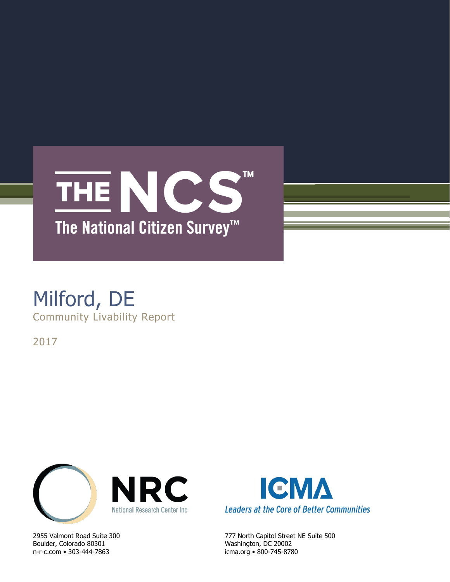

# Milford, DE Community Livability Report

2017



Boulder, Colorado 80301 Washington, DC 20002 n-r-c.com • 303-444-7863 icma.org • 800-745-8780



2955 Valmont Road Suite 300 777 North Capitol Street NE Suite 500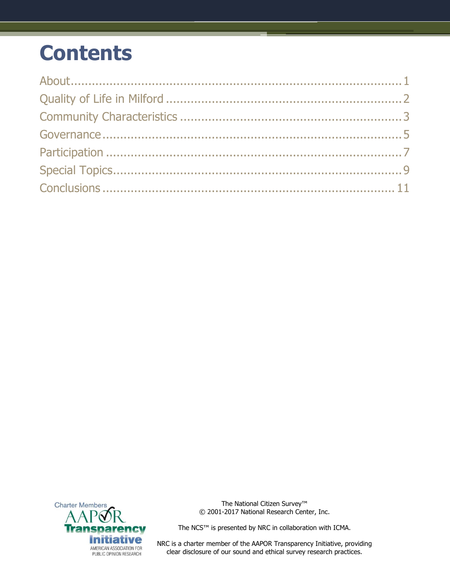# **Contents**



The National Citizen Survey™ © 2001-2017 National Research Center, Inc.

The NCS™ is presented by NRC in collaboration with ICMA.

NRC is a charter member of the AAPOR Transparency Initiative, providing clear disclosure of our sound and ethical survey research practices.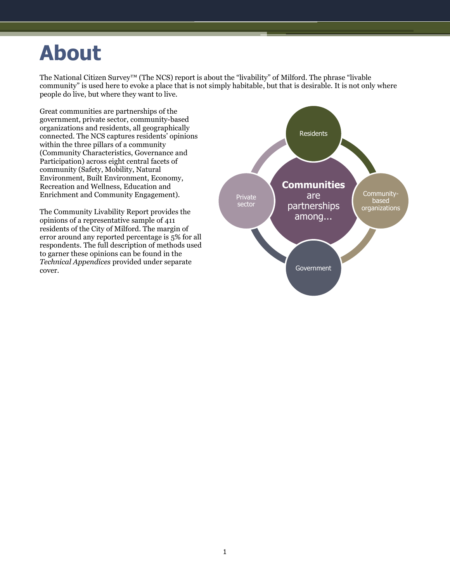# <span id="page-2-0"></span>**About**

The National Citizen Survey™ (The NCS) report is about the "livability" of Milford. The phrase "livable community" is used here to evoke a place that is not simply habitable, but that is desirable. It is not only where people do live, but where they want to live.

Great communities are partnerships of the government, private sector, community-based organizations and residents, all geographically connected. The NCS captures residents' opinions within the three pillars of a community (Community Characteristics, Governance and Participation) across eight central facets of community (Safety, Mobility, Natural Environment, Built Environment, Economy, Recreation and Wellness, Education and Enrichment and Community Engagement).

The Community Livability Report provides the opinions of a representative sample of 411 residents of the City of Milford. The margin of error around any reported percentage is 5% for all respondents. The full description of methods used to garner these opinions can be found in the *Technical Appendices* provided under separate cover.

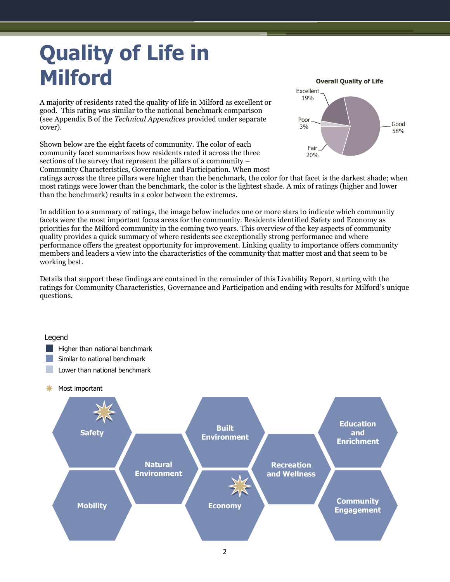# <span id="page-3-0"></span>**Quality of Life in Milford**

A majority of residents rated the quality of life in Milford as excellent or good. This rating was similar to the national benchmark comparison (see Appendix B of the *Technical Appendices* provided under separate cover).

Shown below are the eight facets of community. The color of each community facet summarizes how residents rated it across the three sections of the survey that represent the pillars of a community – Community Characteristics, Governance and Participation. When most



ratings across the three pillars were higher than the benchmark, the color for that facet is the darkest shade; when most ratings were lower than the benchmark, the color is the lightest shade. A mix of ratings (higher and lower than the benchmark) results in a color between the extremes.

In addition to a summary of ratings, the image below includes one or more stars to indicate which community facets were the most important focus areas for the community. Residents identified Safety and Economy as priorities for the Milford community in the coming two years. This overview of the key aspects of community quality provides a quick summary of where residents see exceptionally strong performance and where performance offers the greatest opportunity for improvement. Linking quality to importance offers community members and leaders a view into the characteristics of the community that matter most and that seem to be working best.

Details that support these findings are contained in the remainder of this Livability Report, starting with the ratings for Community Characteristics, Governance and Participation and ending with results for Milford's unique questions.

# **Education and Enrichment Community**  Mobility **Example 20 Mobility Example 20 Mobility Example 20 Mobility Engagement Natural Environment Recreation and Wellness Built Example 2 Safety Environment Economy** Legend **Higher than national benchmark** Similar to national benchmark Lower than national benchmark **\*** Most important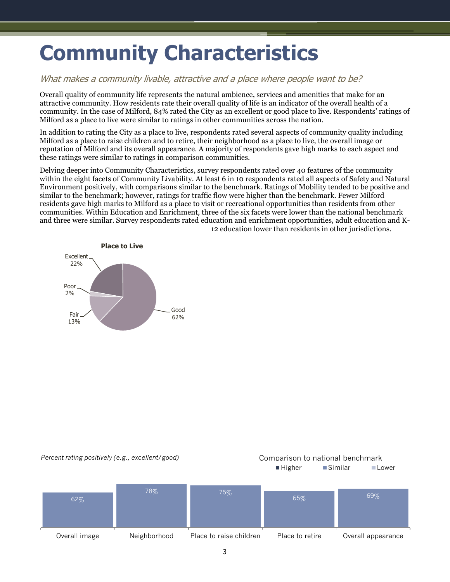# <span id="page-4-0"></span>**Community Characteristics**

### What makes a community livable, attractive and a place where people want to be?

Overall quality of community life represents the natural ambience, services and amenities that make for an attractive community. How residents rate their overall quality of life is an indicator of the overall health of a community. In the case of Milford, 84% rated the City as an excellent or good place to live. Respondents' ratings of Milford as a place to live were similar to ratings in other communities across the nation.

In addition to rating the City as a place to live, respondents rated several aspects of community quality including Milford as a place to raise children and to retire, their neighborhood as a place to live, the overall image or reputation of Milford and its overall appearance. A majority of respondents gave high marks to each aspect and these ratings were similar to ratings in comparison communities.

Delving deeper into Community Characteristics, survey respondents rated over 40 features of the community within the eight facets of Community Livability. At least 6 in 10 respondents rated all aspects of Safety and Natural Environment positively, with comparisons similar to the benchmark. Ratings of Mobility tended to be positive and similar to the benchmark; however, ratings for traffic flow were higher than the benchmark. Fewer Milford residents gave high marks to Milford as a place to visit or recreational opportunities than residents from other communities. Within Education and Enrichment, three of the six facets were lower than the national benchmark and three were similar. Survey respondents rated education and enrichment opportunities, adult education and K-12 education lower than residents in other jurisdictions.



#### *Percent rating positively (e.g., excellent/good)* Comparison to national benchmark



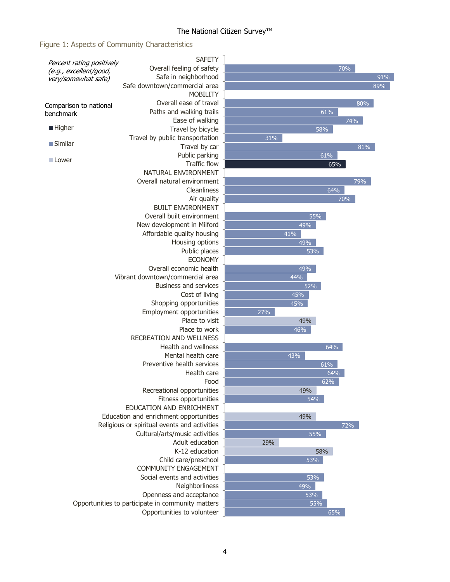## The National Citizen Survey™

### Figure 1: Aspects of Community Characteristics

|                                                                            | <b>SAFETY</b>                                |     |     |     |     |
|----------------------------------------------------------------------------|----------------------------------------------|-----|-----|-----|-----|
| Percent rating positively<br>(e.g., excellent/good,<br>very/somewhat safe) | Overall feeling of safety                    |     |     | 70% |     |
|                                                                            | Safe in neighborhood                         |     |     |     | 91% |
|                                                                            | Safe downtown/commercial area                |     |     |     | 89% |
|                                                                            | <b>MOBILITY</b>                              |     |     |     |     |
|                                                                            | Overall ease of travel                       |     |     |     | 80% |
| Comparison to national                                                     | Paths and walking trails                     |     |     | 61% |     |
| benchmark                                                                  | Ease of walking                              |     |     | 74% |     |
| ■ Higher                                                                   | Travel by bicycle                            |     | 58% |     |     |
|                                                                            | Travel by public transportation              | 31% |     |     |     |
| $\blacksquare$ Similar                                                     | Travel by car                                |     |     |     | 81% |
| ■ Lower                                                                    | Public parking                               |     |     | 61% |     |
|                                                                            | <b>Traffic flow</b>                          |     |     | 65% |     |
|                                                                            | NATURAL ENVIRONMENT                          |     |     |     |     |
|                                                                            | Overall natural environment                  |     |     | 79% |     |
|                                                                            | Cleanliness                                  |     |     | 64% |     |
|                                                                            | Air quality                                  |     |     | 70% |     |
|                                                                            | <b>BUILT ENVIRONMENT</b>                     |     |     |     |     |
|                                                                            | Overall built environment                    |     | 55% |     |     |
|                                                                            | New development in Milford                   |     | 49% |     |     |
|                                                                            | Affordable quality housing                   |     | 41% |     |     |
|                                                                            | Housing options                              |     | 49% |     |     |
|                                                                            | Public places                                |     | 53% |     |     |
|                                                                            | <b>ECONOMY</b>                               |     |     |     |     |
|                                                                            | Overall economic health                      |     | 49% |     |     |
|                                                                            | Vibrant downtown/commercial area             |     | 44% |     |     |
|                                                                            | <b>Business and services</b>                 |     | 52% |     |     |
|                                                                            | Cost of living                               |     | 45% |     |     |
|                                                                            | Shopping opportunities                       |     | 45% |     |     |
|                                                                            | Employment opportunities                     | 27% |     |     |     |
|                                                                            | Place to visit                               |     | 49% |     |     |
|                                                                            | Place to work                                |     | 46% |     |     |
|                                                                            | <b>RECREATION AND WELLNESS</b>               |     |     |     |     |
|                                                                            | Health and wellness                          |     |     | 64% |     |
|                                                                            | Mental health care                           |     | 43% |     |     |
|                                                                            | Preventive health services                   |     |     | 61% |     |
|                                                                            | Health care                                  |     |     | 64% |     |
|                                                                            | Food                                         |     |     | 62% |     |
|                                                                            | Recreational opportunities                   |     | 49% |     |     |
|                                                                            | Fitness opportunities                        |     | 54% |     |     |
|                                                                            | EDUCATION AND ENRICHMENT                     |     |     |     |     |
|                                                                            | Education and enrichment opportunities       |     | 49% |     |     |
|                                                                            | Religious or spiritual events and activities |     |     | 72% |     |
|                                                                            | Cultural/arts/music activities               |     | 55% |     |     |
|                                                                            | Adult education                              | 29% |     |     |     |
|                                                                            | K-12 education                               |     | 58% |     |     |
|                                                                            | Child care/preschool                         |     | 53% |     |     |
|                                                                            | COMMUNITY ENGAGEMENT                         |     |     |     |     |
|                                                                            | Social events and activities                 |     | 53% |     |     |
| Neighborliness                                                             |                                              |     | 49% |     |     |
|                                                                            |                                              | 53% |     |     |     |
| Opportunities to participate in community matters                          |                                              | 55% |     |     |     |
|                                                                            | Opportunities to volunteer                   |     |     | 65% |     |
|                                                                            |                                              |     |     |     |     |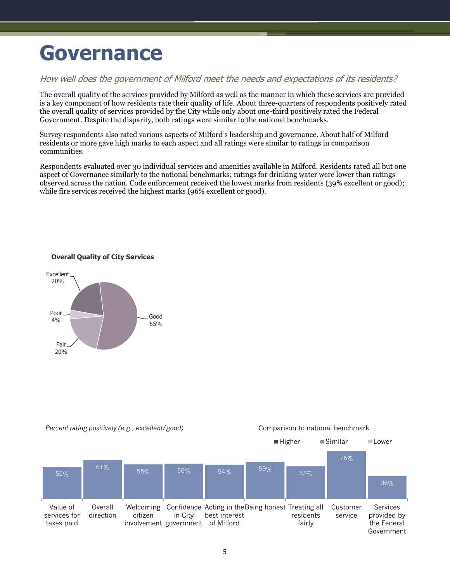# <span id="page-6-0"></span>**Governance**

### How well does the government of Milford meet the needs and expectations of its residents?

The overall quality of the services provided by Milford as well as the manner in which these services are provided is a key component of how residents rate their quality of life. About three-quarters of respondents positively rated the overall quality of services provided by the City while only about one-third positively rated the Federal Government. Despite the disparity, both ratings were similar to the national benchmarks.

Survey respondents also rated various aspects of Milford's leadership and governance. About half of Milford residents or more gave high marks to each aspect and all ratings were similar to ratings in comparison communities.

Respondents evaluated over 30 individual services and amenities available in Milford. Residents rated all but one aspect of Governance similarly to the national benchmarks; ratings for drinking water were lower than ratings observed across the nation. Code enforcement received the lowest marks from residents (39% excellent or good); while fire services received the highest marks (96% excellent or good).

#### **Overall Quality of City Services**



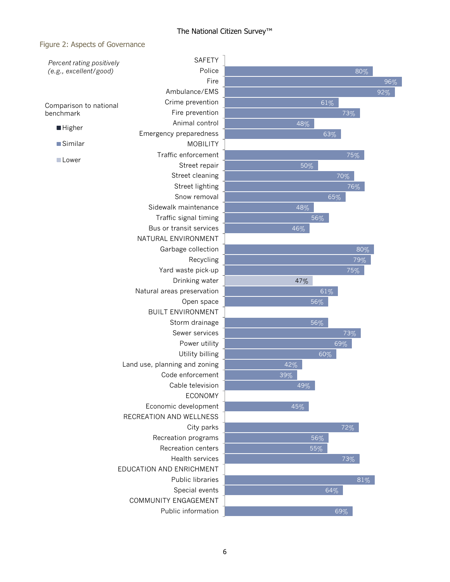#### Figure 2: Aspects of Governance

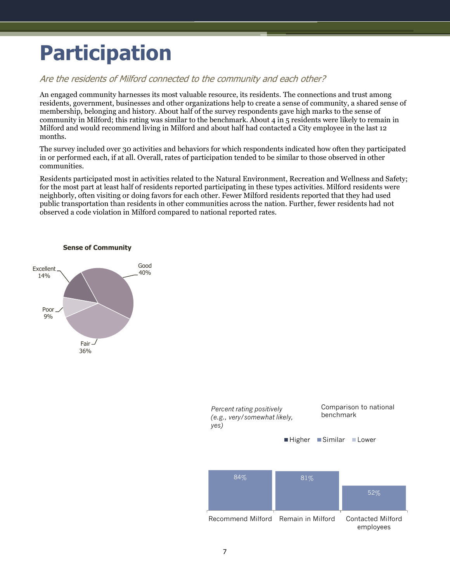# <span id="page-8-0"></span>**Participation**

### Are the residents of Milford connected to the community and each other?

An engaged community harnesses its most valuable resource, its residents. The connections and trust among residents, government, businesses and other organizations help to create a sense of community, a shared sense of membership, belonging and history. About half of the survey respondents gave high marks to the sense of community in Milford; this rating was similar to the benchmark. About 4 in 5 residents were likely to remain in Milford and would recommend living in Milford and about half had contacted a City employee in the last 12 months.

The survey included over 30 activities and behaviors for which respondents indicated how often they participated in or performed each, if at all. Overall, rates of participation tended to be similar to those observed in other communities.

Residents participated most in activities related to the Natural Environment, Recreation and Wellness and Safety; for the most part at least half of residents reported participating in these types activities. Milford residents were neighborly, often visiting or doing favors for each other. Fewer Milford residents reported that they had used public transportation than residents in other communities across the nation. Further, fewer residents had not observed a code violation in Milford compared to national reported rates.



#### **Sense of Community**

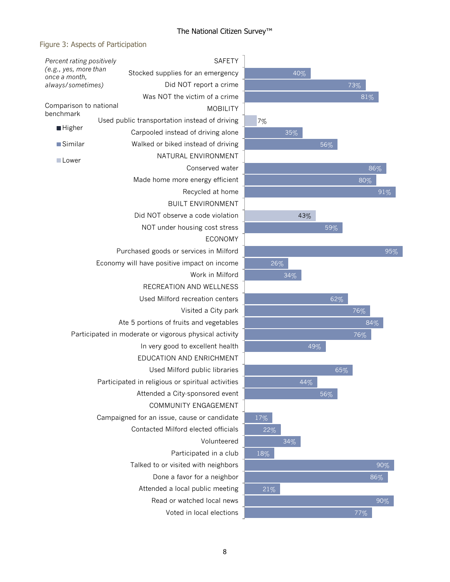### The National Citizen Survey™

### Figure 3: Aspects of Participation

| Percent rating positively                              | <b>SAFETY</b>                                          |  |  |  |  |
|--------------------------------------------------------|--------------------------------------------------------|--|--|--|--|
| (e.g., yes, more than<br>once a month,                 | Stocked supplies for an emergency                      |  |  |  |  |
| always/sometimes)                                      | Did NOT report a crime                                 |  |  |  |  |
|                                                        | Was NOT the victim of a crime                          |  |  |  |  |
| Comparison to national<br>benchmark                    | <b>MOBILITY</b>                                        |  |  |  |  |
|                                                        | Used public transportation instead of driving          |  |  |  |  |
| ■ Higher                                               | Carpooled instead of driving alone                     |  |  |  |  |
| <b>Similar</b>                                         | Walked or biked instead of driving                     |  |  |  |  |
| <b>■Lower</b>                                          | NATURAL ENVIRONMENT                                    |  |  |  |  |
|                                                        | Conserved water                                        |  |  |  |  |
|                                                        | Made home more energy efficient                        |  |  |  |  |
|                                                        | Recycled at home                                       |  |  |  |  |
|                                                        | <b>BUILT ENVIRONMENT</b>                               |  |  |  |  |
|                                                        | Did NOT observe a code violation                       |  |  |  |  |
|                                                        | NOT under housing cost stress                          |  |  |  |  |
|                                                        | <b>ECONOMY</b>                                         |  |  |  |  |
|                                                        | Purchased goods or services in Milford                 |  |  |  |  |
|                                                        | Economy will have positive impact on income            |  |  |  |  |
| Work in Milford                                        |                                                        |  |  |  |  |
|                                                        | RECREATION AND WELLNESS                                |  |  |  |  |
| Used Milford recreation centers<br>Visited a City park |                                                        |  |  |  |  |
|                                                        |                                                        |  |  |  |  |
|                                                        | Participated in moderate or vigorous physical activity |  |  |  |  |
| In very good to excellent health                       |                                                        |  |  |  |  |
|                                                        | EDUCATION AND ENRICHMENT                               |  |  |  |  |
|                                                        | Used Milford public libraries                          |  |  |  |  |
|                                                        | Participated in religious or spiritual activities      |  |  |  |  |
|                                                        | Attended a City-sponsored event                        |  |  |  |  |
|                                                        | <b>COMMUNITY ENGAGEMENT</b>                            |  |  |  |  |
|                                                        | Campaigned for an issue, cause or candidate            |  |  |  |  |
|                                                        | Contacted Milford elected officials                    |  |  |  |  |
|                                                        | Volunteered                                            |  |  |  |  |
|                                                        | Participated in a club                                 |  |  |  |  |
|                                                        | Talked to or visited with neighbors                    |  |  |  |  |
|                                                        | Done a favor for a neighbor                            |  |  |  |  |
|                                                        | Attended a local public meeting                        |  |  |  |  |
| Read or watched local news                             |                                                        |  |  |  |  |
|                                                        | Voted in local elections                               |  |  |  |  |

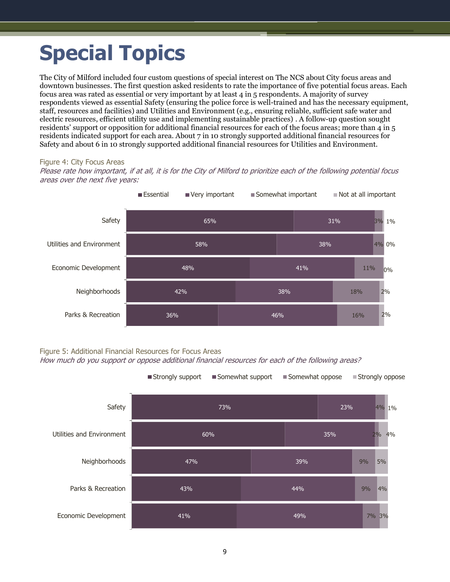# <span id="page-10-0"></span>**Special Topics**

The City of Milford included four custom questions of special interest on The NCS about City focus areas and downtown businesses. The first question asked residents to rate the importance of five potential focus areas. Each focus area was rated as essential or very important by at least 4 in 5 respondents. A majority of survey respondents viewed as essential Safety (ensuring the police force is well-trained and has the necessary equipment, staff, resources and facilities) and Utilities and Environment (e.g., ensuring reliable, sufficient safe water and electric resources, efficient utility use and implementing sustainable practices) . A follow-up question sought residents' support or opposition for additional financial resources for each of the focus areas; more than 4 in 5 residents indicated support for each area. About 7 in 10 strongly supported additional financial resources for Safety and about 6 in 10 strongly supported additional financial resources for Utilities and Environment.

#### Figure 4: City Focus Areas

Please rate how important, if at all, it is for the City of Milford to prioritize each of the following potential focus areas over the next five years:



Figure 5: Additional Financial Resources for Focus Areas

How much do you support or oppose additional financial resources for each of the following areas?

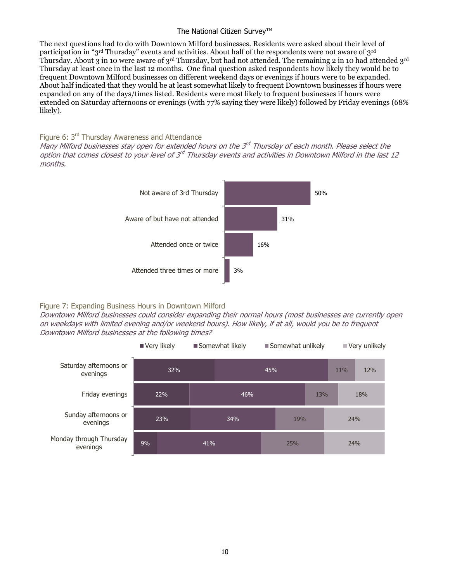#### The National Citizen Survey™

The next questions had to do with Downtown Milford businesses. Residents were asked about their level of participation in "3rd Thursday" events and activities. About half of the respondents were not aware of 3rd Thursday. About 3 in 10 were aware of 3rd Thursday, but had not attended. The remaining 2 in 10 had attended 3rd Thursday at least once in the last 12 months. One final question asked respondents how likely they would be to frequent Downtown Milford businesses on different weekend days or evenings if hours were to be expanded. About half indicated that they would be at least somewhat likely to frequent Downtown businesses if hours were expanded on any of the days/times listed. Residents were most likely to frequent businesses if hours were extended on Saturday afternoons or evenings (with 77% saying they were likely) followed by Friday evenings (68% likely).

#### Figure 6: 3<sup>rd</sup> Thursday Awareness and Attendance

Many Milford businesses stay open for extended hours on the 3<sup>rd</sup> Thursday of each month. Please select the option that comes closest to your level of 3<sup>rd</sup> Thursday events and activities in Downtown Milford in the last 12 months.



#### Figure 7: Expanding Business Hours in Downtown Milford

Downtown Milford businesses could consider expanding their normal hours (most businesses are currently open on weekdays with limited evening and/or weekend hours). How likely, if at all, would you be to frequent Downtown Milford businesses at the following times?